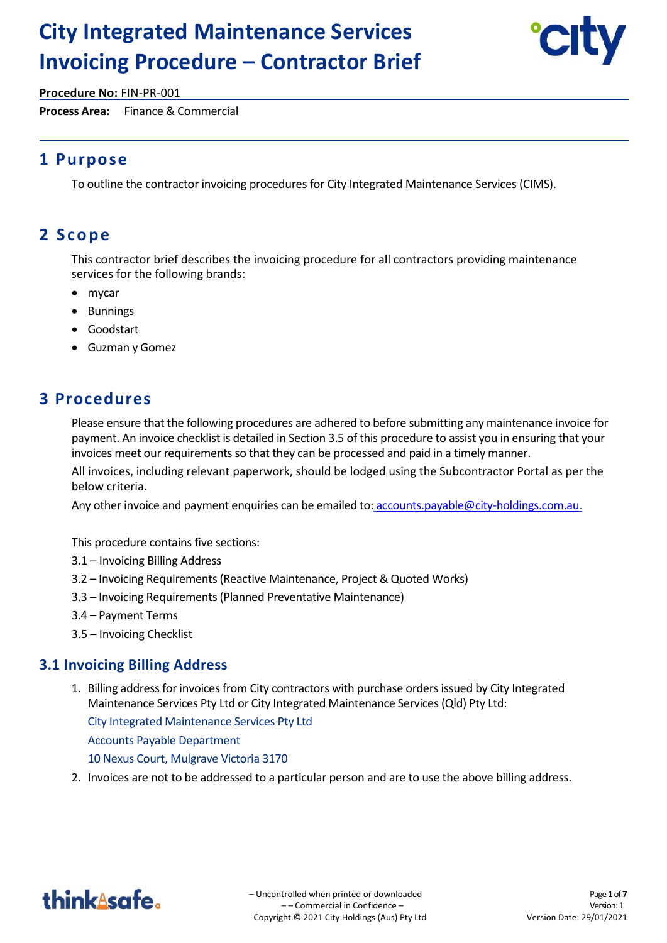# **City Integrated Maintenance Services Invoicing Procedure – Contractor Brief**



**Procedure No:** FIN-PR-001

**Process Area:** Finance & Commercial

# **1 Purpose**

To outline the contractor invoicing procedures for City Integrated Maintenance Services (CIMS).

# **2 S c o p e**

This contractor brief describes the invoicing procedure for all contractors providing maintenance services for the following brands:

- mycar
- Bunnings
- Goodstart
- Guzman y Gomez

# **3 Procedures**

Please ensure that the following procedures are adhered to before submitting any maintenance invoice for payment. An invoice checklist is detailed in Section 3.5 of this procedure to assist you in ensuring that your invoices meet our requirements so that they can be processed and paid in a timely manner.

All invoices, including relevant paperwork, should be lodged using the Subcontractor Portal as per the below criteria.

Any other invoice and payment enquiries can be emailed to: accounts.payable@city-holdings.com.au.

This procedure contains five sections:

- 3.1 Invoicing Billing Address
- 3.2 Invoicing Requirements (Reactive Maintenance, Project & Quoted Works)
- 3.3 Invoicing Requirements (Planned Preventative Maintenance)
- 3.4 Payment Terms
- 3.5 Invoicing Checklist

### **3.1 Invoicing Billing Address**

1. Billing address for invoices from City contractors with purchase orders issued by City Integrated Maintenance Services Pty Ltd or City Integrated Maintenance Services (Qld) Pty Ltd:

City Integrated Maintenance Services Pty Ltd Accounts Payable Department 10 Nexus Court, Mulgrave Victoria 3170

2. Invoices are not to be addressed to a particular person and are to use the above billing address.

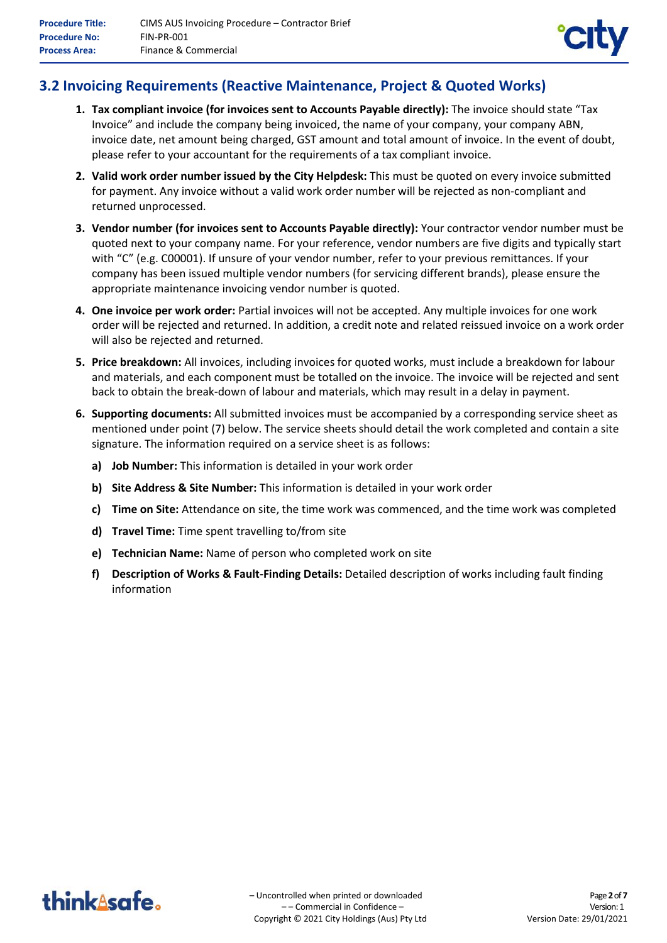

## **3.2 Invoicing Requirements (Reactive Maintenance, Project & Quoted Works)**

- **1. Tax compliant invoice (for invoices sent to Accounts Payable directly):** The invoice should state "Tax Invoice" and include the company being invoiced, the name of your company, your company ABN, invoice date, net amount being charged, GST amount and total amount of invoice. In the event of doubt, please refer to your accountant for the requirements of a tax compliant invoice.
- **2. Valid work order number issued by the City Helpdesk:** This must be quoted on every invoice submitted for payment. Any invoice without a valid work order number will be rejected as non-compliant and returned unprocessed.
- **3. Vendor number (for invoices sent to Accounts Payable directly):** Your contractor vendor number must be quoted next to your company name. For your reference, vendor numbers are five digits and typically start with "C" (e.g. C00001). If unsure of your vendor number, refer to your previous remittances. If your company has been issued multiple vendor numbers (for servicing different brands), please ensure the appropriate maintenance invoicing vendor number is quoted.
- **4. One invoice per work order:** Partial invoices will not be accepted. Any multiple invoices for one work order will be rejected and returned. In addition, a credit note and related reissued invoice on a work order will also be rejected and returned.
- **5. Price breakdown:** All invoices, including invoices for quoted works, must include a breakdown for labour and materials, and each component must be totalled on the invoice. The invoice will be rejected and sent back to obtain the break-down of labour and materials, which may result in a delay in payment.
- **6. Supporting documents:** All submitted invoices must be accompanied by a corresponding service sheet as mentioned under point (7) below. The service sheets should detail the work completed and contain a site signature. The information required on a service sheet is as follows:
	- **a) Job Number:** This information is detailed in your work order
	- **b) Site Address & Site Number:** This information is detailed in your work order
	- **c) Time on Site:** Attendance on site, the time work was commenced, and the time work was completed
	- **d) Travel Time:** Time spent travelling to/from site
	- **e) Technician Name:** Name of person who completed work on site
	- **f) Description of Works & Fault-Finding Details:** Detailed description of works including fault finding information

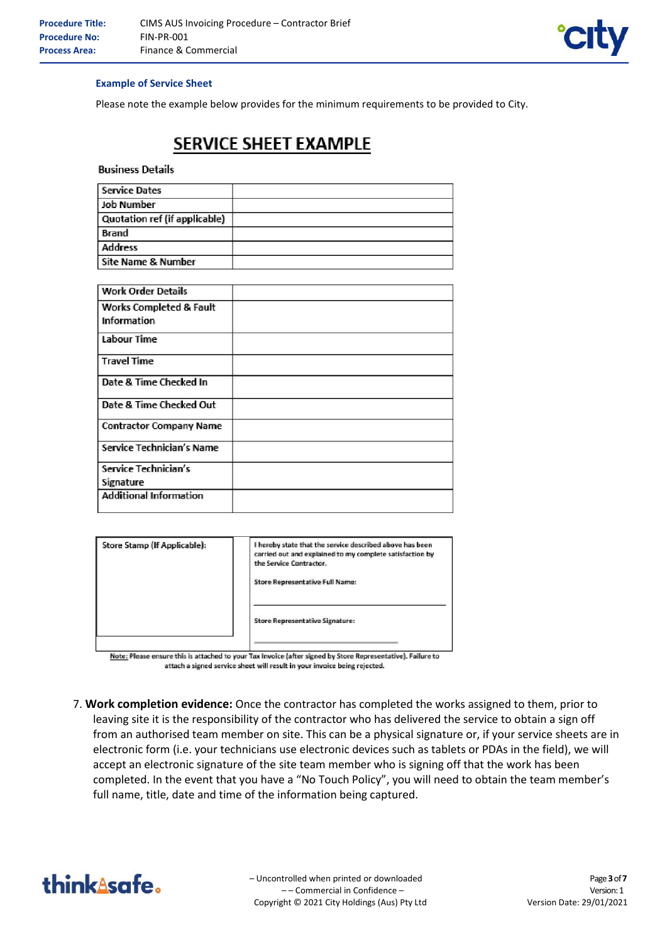

#### **Example of Service Sheet**

Please note the example below provides for the minimum requirements to be provided to City.

# SERVICE SHEET EXAMPLE

**Business Details** 

| <b>Service Dates</b>          |  |
|-------------------------------|--|
| <b>Job Number</b>             |  |
| Quotation ref (if applicable) |  |
| <b>Brand</b>                  |  |
| <b>Address</b>                |  |
| Site Name & Number            |  |

| <b>Work Order Details</b>          |  |
|------------------------------------|--|
| <b>Works Completed &amp; Fault</b> |  |
| Information                        |  |
| Labour Time                        |  |
| <b>Travel Time</b>                 |  |
| Date & Time Checked In             |  |
| Date & Time Checked Out            |  |
| <b>Contractor Company Name</b>     |  |
| Service Technician's Name          |  |
| Service Technician's               |  |
| Signature                          |  |
| <b>Additional Information</b>      |  |

| Store Stamp (If Applicable): | I hereby state that the service described above has been<br>carried out and explained to my complete satisfaction by<br>the Service Contractor. |
|------------------------------|-------------------------------------------------------------------------------------------------------------------------------------------------|
|                              | <b>Store Representative Full Name:</b>                                                                                                          |
|                              | <b>Store Representative Signature:</b>                                                                                                          |

Note: Please ensure this is attached to your Tax Invoice (after signed by Store Representative). Failure to attach a signed service sheet will result in your invoice being rejected.

7. **Work completion evidence:** Once the contractor has completed the works assigned to them, prior to leaving site it is the responsibility of the contractor who has delivered the service to obtain a sign off from an authorised team member on site. This can be a physical signature or, if your service sheets are in electronic form (i.e. your technicians use electronic devices such as tablets or PDAs in the field), we will accept an electronic signature of the site team member who is signing off that the work has been completed. In the event that you have a "No Touch Policy", you will need to obtain the team member's full name, title, date and time of the information being captured.

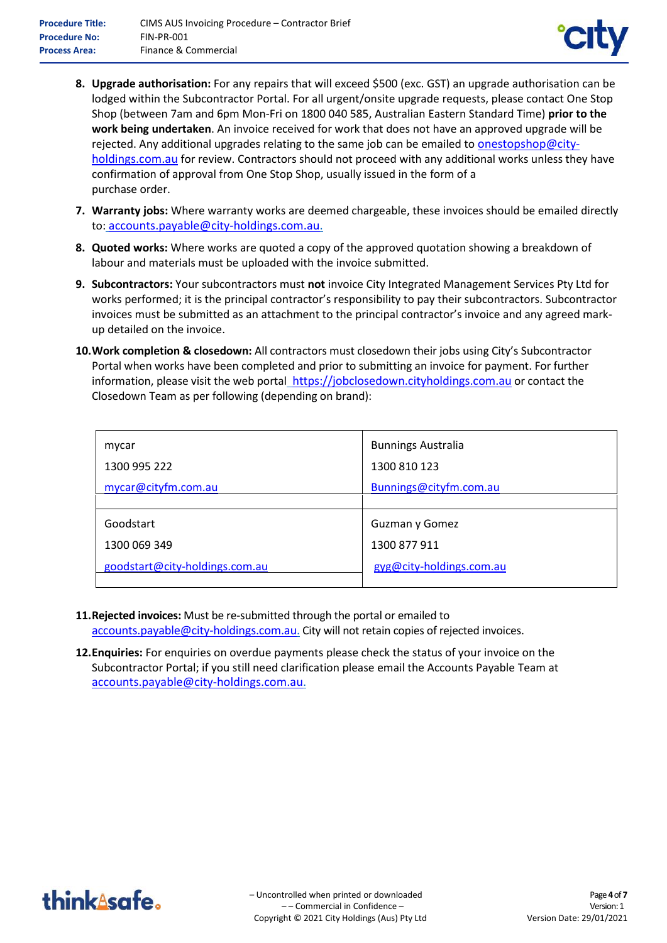

- **8. Upgrade authorisation:** For any repairs that will exceed \$500 (exc. GST) an upgrade authorisation can be lodged within the Subcontractor Portal. For all urgent/onsite upgrade requests, please contact One Stop Shop (between 7am and 6pm Mon-Fri on 1800 040 585, Australian Eastern Standard Time) **prior to the work being undertaken**. An invoice received for work that does not have an approved upgrade will be rejected. Any additional upgrades relating to the same job can be emailed to onestopshop@cityholdings.com.au for review. Contractors should not proceed with any additional works unless they have confirmation of approval from One Stop Shop, usually issued in the form of a purchase order.
- **7. Warranty jobs:** Where warranty works are deemed chargeable, these invoices should be emailed directly to: accounts.payable@city-holdings.com.au.
- **8. Quoted works:** Where works are quoted a copy of the approved quotation showing a breakdown of labour and materials must be uploaded with the invoice submitted.
- **9. Subcontractors:** Your subcontractors must **not** invoice City Integrated Management Services Pty Ltd for works performed; it is the principal contractor's responsibility to pay their subcontractors. Subcontractor invoices must be submitted as an attachment to the principal contractor's invoice and any agreed markup detailed on the invoice.
- **10.Work completion & closedown:** All contractors must closedown their jobs using City's Subcontractor Portal when works have been completed and prior to submitting an invoice for payment. For further information, please visit the web portal\_https://jobclosedown.cityholdings.com.au or contact the Closedown Team as per following (depending on brand):

| <b>Bunnings Australia</b> |
|---------------------------|
| 1300 810 123              |
| Bunnings@cityfm.com.au    |
|                           |
| Guzman y Gomez            |
| 1300 877 911              |
| gyg@city-holdings.com.au  |
|                           |

- **11.Rejected invoices:** Must be re-submitted through the portal or emailed to accounts.payable@city-holdings.com.au. City will not retain copies of rejected invoices.
- **12.Enquiries:** For enquiries on overdue payments please check the status of your invoice on the Subcontractor Portal; if you still need clarification please email the Accounts Payable Team at accounts.payable@city-holdings.com.au.

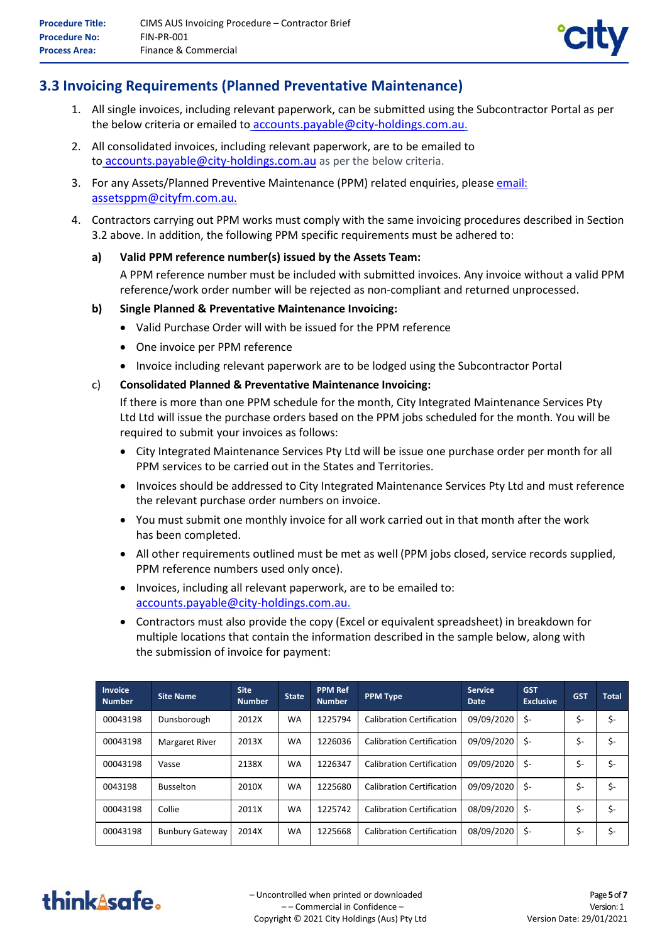

### **3.3 Invoicing Requirements (Planned Preventative Maintenance)**

- 1. All single invoices, including relevant paperwork, can be submitted using the Subcontractor Portal as per the below criteria or emailed to accounts.payable@city-holdings.com.au.
- 2. All consolidated invoices, including relevant paperwork, are to be emailed to to accounts.payable@city-holdings.com.au as per the below criteria.
- 3. For any Assets/Planned Preventive Maintenance (PPM) related enquiries, please email: assetsppm@cityfm.com.au.
- 4. Contractors carrying out PPM works must comply with the same invoicing procedures described in Section 3.2 above. In addition, the following PPM specific requirements must be adhered to:

#### **a) Valid PPM reference number(s) issued by the Assets Team:**

A PPM reference number must be included with submitted invoices. Any invoice without a valid PPM reference/work order number will be rejected as non-compliant and returned unprocessed.

#### **b) Single Planned & Preventative Maintenance Invoicing:**

- Valid Purchase Order will with be issued for the PPM reference
- One invoice per PPM reference
- Invoice including relevant paperwork are to be lodged using the Subcontractor Portal

#### c) **Consolidated Planned & Preventative Maintenance Invoicing:**

If there is more than one PPM schedule for the month, City Integrated Maintenance Services Pty Ltd Ltd will issue the purchase orders based on the PPM jobs scheduled for the month. You will be required to submit your invoices as follows:

- City Integrated Maintenance Services Pty Ltd will be issue one purchase order per month for all PPM services to be carried out in the States and Territories.
- Invoices should be addressed to City Integrated Maintenance Services Pty Ltd and must reference the relevant purchase order numbers on invoice.
- You must submit one monthly invoice for all work carried out in that month after the work has been completed.
- All other requirements outlined must be met as well (PPM jobs closed, service records supplied, PPM reference numbers used only once).
- Invoices, including all relevant paperwork, are to be emailed to: accounts.payable@city-holdings.com.au.
- Contractors must also provide the copy (Excel or equivalent spreadsheet) in breakdown for multiple locations that contain the information described in the sample below, along with the submission of invoice for payment:

| <b>Invoice</b><br><b>Number</b> | <b>Site Name</b>       | <b>Site</b><br><b>Number</b> | <b>State</b> | <b>PPM Ref</b><br><b>Number</b> | <b>PPM Type</b>                  | <b>Service</b><br><b>Date</b> | <b>GST</b><br><b>Exclusive</b> | <b>GST</b> | <b>Total</b> |
|---------------------------------|------------------------|------------------------------|--------------|---------------------------------|----------------------------------|-------------------------------|--------------------------------|------------|--------------|
| 00043198                        | Dunsborough            | 2012X                        | <b>WA</b>    | 1225794                         | <b>Calibration Certification</b> | 09/09/2020                    | \$-                            | \$-        | \$-          |
| 00043198                        | <b>Margaret River</b>  | 2013X                        | <b>WA</b>    | 1226036                         | <b>Calibration Certification</b> | 09/09/2020                    | \$-                            | \$-        | \$-          |
| 00043198                        | Vasse                  | 2138X                        | <b>WA</b>    | 1226347                         | <b>Calibration Certification</b> | 09/09/2020                    | \$-                            | \$-        | \$-          |
| 0043198                         | <b>Busselton</b>       | 2010X                        | <b>WA</b>    | 1225680                         | <b>Calibration Certification</b> | 09/09/2020                    | \$-                            | \$-        | \$-          |
| 00043198                        | Collie                 | 2011X                        | <b>WA</b>    | 1225742                         | <b>Calibration Certification</b> | 08/09/2020                    | \$-                            | \$-        | \$-          |
| 00043198                        | <b>Bunbury Gateway</b> | 2014X                        | <b>WA</b>    | 1225668                         | <b>Calibration Certification</b> | 08/09/2020                    | \$-                            | \$-        | \$-          |

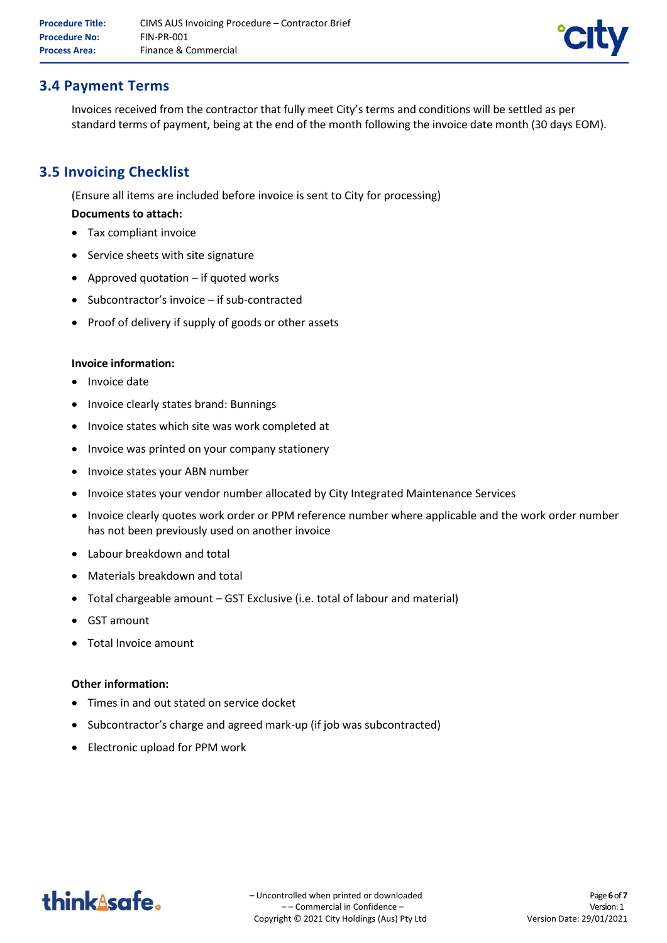

### **3.4 Payment Terms**

Invoices received from the contractor that fully meet City's terms and conditions will be settled as per standard terms of payment, being at the end of the month following the invoice date month (30 days EOM).

## **3.5 Invoicing Checklist**

(Ensure all items are included before invoice is sent to City for processing)

#### **Documents to attach:**

- Tax compliant invoice
- Service sheets with site signature
- Approved quotation if quoted works
- Subcontractor's invoice if sub-contracted
- Proof of delivery if supply of goods or other assets

#### **Invoice information:**

- Invoice date
- Invoice clearly states brand: Bunnings
- Invoice states which site was work completed at
- Invoice was printed on your company stationery
- Invoice states your ABN number
- Invoice states your vendor number allocated by City Integrated Maintenance Services
- Invoice clearly quotes work order or PPM reference number where applicable and the work order number has not been previously used on another invoice
- Labour breakdown and total
- Materials breakdown and total
- Total chargeable amount GST Exclusive (i.e. total of labour and material)
- GST amount
- Total Invoice amount

#### **Other information:**

- Times in and out stated on service docket
- Subcontractor's charge and agreed mark-up (if job was subcontracted)
- Electronic upload for PPM work